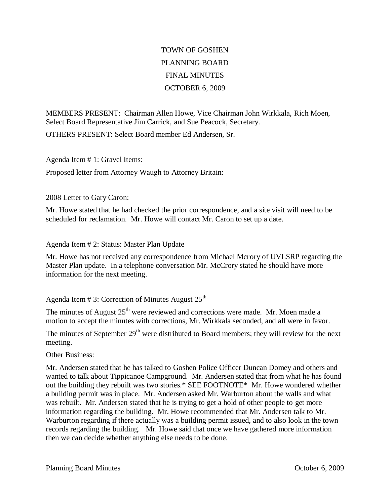## TOWN OF GOSHEN PLANNING BOARD FINAL MINUTES OCTOBER 6, 2009

MEMBERS PRESENT: Chairman Allen Howe, Vice Chairman John Wirkkala, Rich Moen, Select Board Representative Jim Carrick, and Sue Peacock, Secretary. OTHERS PRESENT: Select Board member Ed Andersen, Sr.

Agenda Item # 1: Gravel Items: Proposed letter from Attorney Waugh to Attorney Britain:

## 2008 Letter to Gary Caron:

Mr. Howe stated that he had checked the prior correspondence, and a site visit will need to be scheduled for reclamation. Mr. Howe will contact Mr. Caron to set up a date.

## Agenda Item # 2: Status: Master Plan Update

Mr. Howe has not received any correspondence from Michael Mcrory of UVLSRP regarding the Master Plan update. In a telephone conversation Mr. McCrory stated he should have more information for the next meeting.

## Agenda Item # 3: Correction of Minutes August  $25^{\text{th}}$ .

The minutes of August  $25<sup>th</sup>$  were reviewed and corrections were made. Mr. Moen made a motion to accept the minutes with corrections, Mr. Wirkkala seconded, and all were in favor.

The minutes of September  $29<sup>th</sup>$  were distributed to Board members; they will review for the next meeting.

Other Business:

Mr. Andersen stated that he has talked to Goshen Police Officer Duncan Domey and others and wanted to talk about Tippicanoe Campground. Mr. Andersen stated that from what he has found out the building they rebuilt was two stories.\* SEE FOOTNOTE\* Mr. Howe wondered whether a building permit was in place. Mr. Andersen asked Mr. Warburton about the walls and what was rebuilt. Mr. Andersen stated that he is trying to get a hold of other people to get more information regarding the building. Mr. Howe recommended that Mr. Andersen talk to Mr. Warburton regarding if there actually was a building permit issued, and to also look in the town records regarding the building. Mr. Howe said that once we have gathered more information then we can decide whether anything else needs to be done.